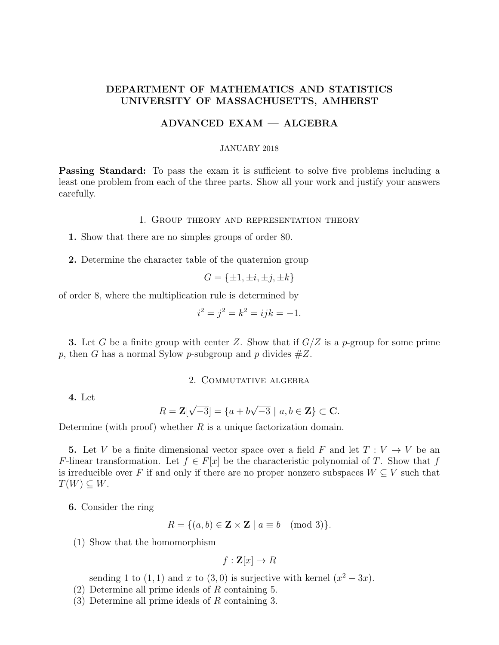# DEPARTMENT OF MATHEMATICS AND STATISTICS UNIVERSITY OF MASSACHUSETTS, AMHERST

### ADVANCED EXAM — ALGEBRA

#### JANUARY 2018

**Passing Standard:** To pass the exam it is sufficient to solve five problems including a least one problem from each of the three parts. Show all your work and justify your answers carefully.

#### 1. Group theory and representation theory

1. Show that there are no simples groups of order 80.

2. Determine the character table of the quaternion group

$$
G = \{\pm 1, \pm i, \pm j, \pm k\}
$$

of order 8, where the multiplication rule is determined by

$$
i^2 = j^2 = k^2 = ijk = -1.
$$

**3.** Let G be a finite group with center Z. Show that if  $G/Z$  is a p-group for some prime p, then G has a normal Sylow p-subgroup and p divides  $#Z$ .

### 2. Commutative algebra

4. Let

$$
R = \mathbf{Z}[\sqrt{-3}] = \{a + b\sqrt{-3} \mid a, b \in \mathbf{Z}\} \subset \mathbf{C}.
$$

Determine (with proof) whether  $R$  is a unique factorization domain.

**5.** Let V be a finite dimensional vector space over a field F and let  $T: V \to V$  be an F-linear transformation. Let  $f \in F[x]$  be the characteristic polynomial of T. Show that f is irreducible over F if and only if there are no proper nonzero subspaces  $W \subseteq V$  such that  $T(W) \subseteq W$ .

6. Consider the ring

$$
R = \{(a, b) \in \mathbf{Z} \times \mathbf{Z} \mid a \equiv b \pmod{3}\}.
$$

(1) Show that the homomorphism

$$
f: \mathbf{Z}[x] \to R
$$

sending 1 to  $(1,1)$  and x to  $(3,0)$  is surjective with kernel  $(x^2-3x)$ .

- (2) Determine all prime ideals of R containing 5.
- (3) Determine all prime ideals of R containing 3.